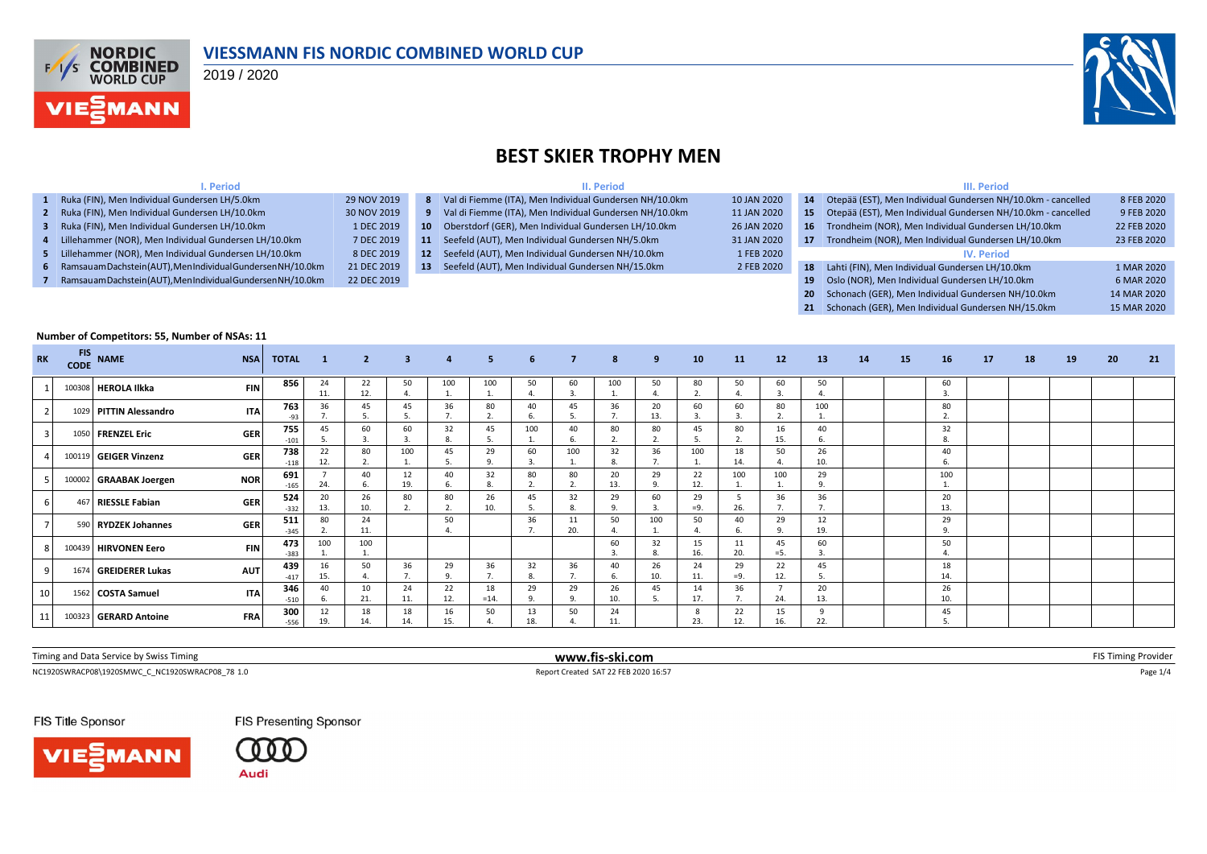

#### **VIESSMANN FIS NORDIC COMBINED WORLD CUP**

2019 / 2020

**I. Period**



#### **BEST SKIER TROPHY MEN**

**II. Period**

|--|

| 1 Ruka (FIN), Men Individual Gundersen LH/5.0km                | 29 NOV 2019 |                 | 8 Val di Fiemme (ITA), Men Individual Gundersen NH/10.0km | 10 JAN 2020 |    | 14 Otepää (EST), Men Individual Gundersen NH/10.0km - cancelled | 8 FEB 2020  |
|----------------------------------------------------------------|-------------|-----------------|-----------------------------------------------------------|-------------|----|-----------------------------------------------------------------|-------------|
| 2 Ruka (FIN), Men Individual Gundersen LH/10.0km               | 30 NOV 2019 |                 | 9 Val di Fiemme (ITA), Men Individual Gundersen NH/10.0km | 11 JAN 2020 |    | 15 Otepää (EST), Men Individual Gundersen NH/10.0km - cancelled | 9 FEB 2020  |
| 3 Ruka (FIN), Men Individual Gundersen LH/10.0km               | 1 DEC 2019  |                 | 10 Oberstdorf (GER), Men Individual Gundersen LH/10.0km   | 26 JAN 2020 |    | 16 Trondheim (NOR), Men Individual Gundersen LH/10.0km          | 22 FEB 2020 |
| 4 Lillehammer (NOR), Men Individual Gundersen LH/10.0km        | 7 DEC 2019  |                 | 11 Seefeld (AUT), Men Individual Gundersen NH/5.0km       | 31 JAN 2020 | 17 | Trondheim (NOR), Men Individual Gundersen LH/10.0km             | 23 FEB 2020 |
| 5 Lillehammer (NOR), Men Individual Gundersen LH/10.0km        | 8 DEC 2019  | 12              | Seefeld (AUT), Men Individual Gundersen NH/10.0km         | 1 FEB 2020  |    | <b>IV.</b> Period                                               |             |
| 6 Ramsauam Dachstein (AUT), Men Individual Gundersen NH/10.0km | 21 DEC 2019 | 13 <sup>7</sup> | Seefeld (AUT), Men Individual Gundersen NH/15.0km         | 2 FEB 2020  |    | 18 Lahti (FIN), Men Individual Gundersen LH/10.0km              | 1 MAR 2020  |
| Ramsauam Dachstein (AUT), Men Individual Gundersen NH/10.0km   | 22 DEC 2019 |                 |                                                           |             |    | 19 Oslo (NOR), Men Individual Gundersen LH/10.0km               | 6 MAR 2020  |
|                                                                |             |                 |                                                           |             |    | 20 Schonach (GER), Men Individual Gundersen NH/10.0km           | 14 MAR 2020 |

**21** Schonach (GER), Men Individual Gundersen NH/15.0km 15 MAR 2020

#### **Number of Competitors: 55, Number of NSAs: 11 RK FIS CODE NAME NSA TOTAL <sup>1</sup> <sup>2</sup> <sup>3</sup> <sup>4</sup> <sup>5</sup> <sup>6</sup> <sup>7</sup> <sup>8</sup> <sup>9</sup> <sup>10</sup> <sup>11</sup> <sup>12</sup> <sup>13</sup> <sup>14</sup> <sup>15</sup> <sup>16</sup> <sup>17</sup> <sup>18</sup> <sup>19</sup> <sup>20</sup> <sup>21</sup>** <sup>1</sup> <sup>100308</sup> **HEROLA Ilkka FIN <sup>856</sup>** <sup>24</sup> 11. 22 12. 50 4. 100 1. 100 1. 50 4. 60 3. 100 1. 50 4. 80 2. 50 4. 60 3. 50 4. 60 3. <sup>2</sup> <sup>1029</sup> **PITTIN Alessandro ITA <sup>763</sup>** <sup>36</sup> 7. 45 5. 45 5. 36 7. 80 2. 40 6. 45 5. 36 7. 20 13. 60 3. 60 3. 80  $\overline{2}$ 100 1. 80 -93 | 7. | 5. | 5. | 7. | 2. | 6. | 5. | 7. | 13. | 3. | 3. | 2. | 1. | | | | 2. <sup>3</sup> <sup>1050</sup> **FRENZEL Eric GER <sup>755</sup>** <sup>45</sup> 5. 60 3. 60 3. 32 8. 45 5. 100 1. 40 6. 80 2. 80 2. 45 5. 80 2. 16 15. 40 6. 32<br>8 -101 5. 3. 3. 8. 5. 1. 6. 2. 2. 5. 2. 15. 6. <sup>4</sup> <sup>100119</sup> **GEIGER Vinzenz GER <sup>738</sup>** <sup>22</sup> 12. 80 2. 100 1. 45 5. 29 9. 60 3. 100 1. 32 8. 36 7. 100 1. 18 14. 50 4. 26 10.  $^{40}_{6}$ 118 12. 2. 1. 5. 9. 3. 1. 8. 7. 1. 14. 4. 10. <sup>5</sup> <sup>100002</sup> **GRAABAK Joergen NOR <sup>691</sup>** <sup>7</sup>  $24.$ 40 6. 12 19. 40 6. 32 8. 80 2. 80 2. 20  $\frac{1}{13}$ 29 9. 22 12. 100 1. 100 1. 29 9.  $\begin{array}{c} 100 \\ 1. \end{array}$ 105 24. | 6. | 19. | 6. | 8. | 2. | 2. | 13. | 9. | 12. | 1. | 1. | 9. | | | | 1. <sup>6</sup> <sup>467</sup> **RIESSLE Fabian GER <sup>524</sup>** <sup>20</sup> 13. 26 10. 80 2. 80 2. 26 10. 45 5. 32 8. 29 9. 60 3. 29  $=9.$ 5 26. 36 7. 36 7. 20  $-332$  13. 10. 2. 2. 10. 5. 8. 9. 3.  $=9$ . 26. 7. 7. <sup>7</sup> <sup>590</sup> **RYDZEK Johannes GER <sup>511</sup>** <sup>80</sup>  $\overline{2}$ 24 11. 50 4. 36 7. 11  $20$ 50 4. 100 1. 50 4. 40 6. 29 9. 12 19. 29 -345 2. | 11. | | | 4. | | 7. | 20. | 4. | 1. | 4. | 6. | 9. | 19. | | | | 9. 8 100439 **HIRVONEN Eero FIN**  $473 \n_{383}$  100 1. 100 1. 60 3. 32 8. 15 16. 11 20. 45  $=$ 5. 60 3. 50 -383 1. | 1. | | | | | | | | 3. | 8. | 16. | 20. | =5. | 3. | | | | 4. <sup>9</sup> <sup>1674</sup> **GREIDERER Lukas AUT <sup>439</sup>** <sup>16</sup> 15. 50 4. 36 7. 29 9. 36 7. 32 8. 36 7. 40 6. 26 10. 24 11. 29  $=9.$ 22 12. 45 5.  $18$ <br> $14.$ 417 15. | 4. | 7. | 9. | 7. | 8. | 7. | 6. | 10. | 11. | =9. | 12. | 5. | | | | 14. 10 1562 **COSTA Samuel 1TA** 346 40 6. 10 21. 24 11. 22 12. 18  $=14.$ 29 9. 29 9. 26  $10.$ 45 5. 14 17. 36 7. 7 24. 20 13.  $\frac{26}{10}$ -510 | 6. | 21. | 11. | 12. | =14. | 9. | 9. | 10. | 5. | 17. | 7. | 24. | 13. | | | | 10. <sup>11</sup> <sup>100323</sup> **GERARD Antoine FRA <sup>300</sup>** <sup>12</sup> 19. 18 14. 18 14. 16 15. 50 4. 13 18. 50 4. 24 11. 8 23. 22 12. 15 16. 9 22.  $\frac{45}{5}$ -556 5.

| Timing and Data Service by Swiss Timing | www.fis-ski.com | EIS I<br>, ovider<br>nıne |
|-----------------------------------------|-----------------|---------------------------|
|                                         |                 |                           |

NC1920SWRACP08\1920SMWC C NC1920SWRACP08 78 1.0 <br>
Report Created SAT 22 FEB 2020 16:57 Page 1/4 Page 1/4 Page 1/4 Page 1/4 Page 1/4

FIS Title Sponsor





FIS Presenting Sponsor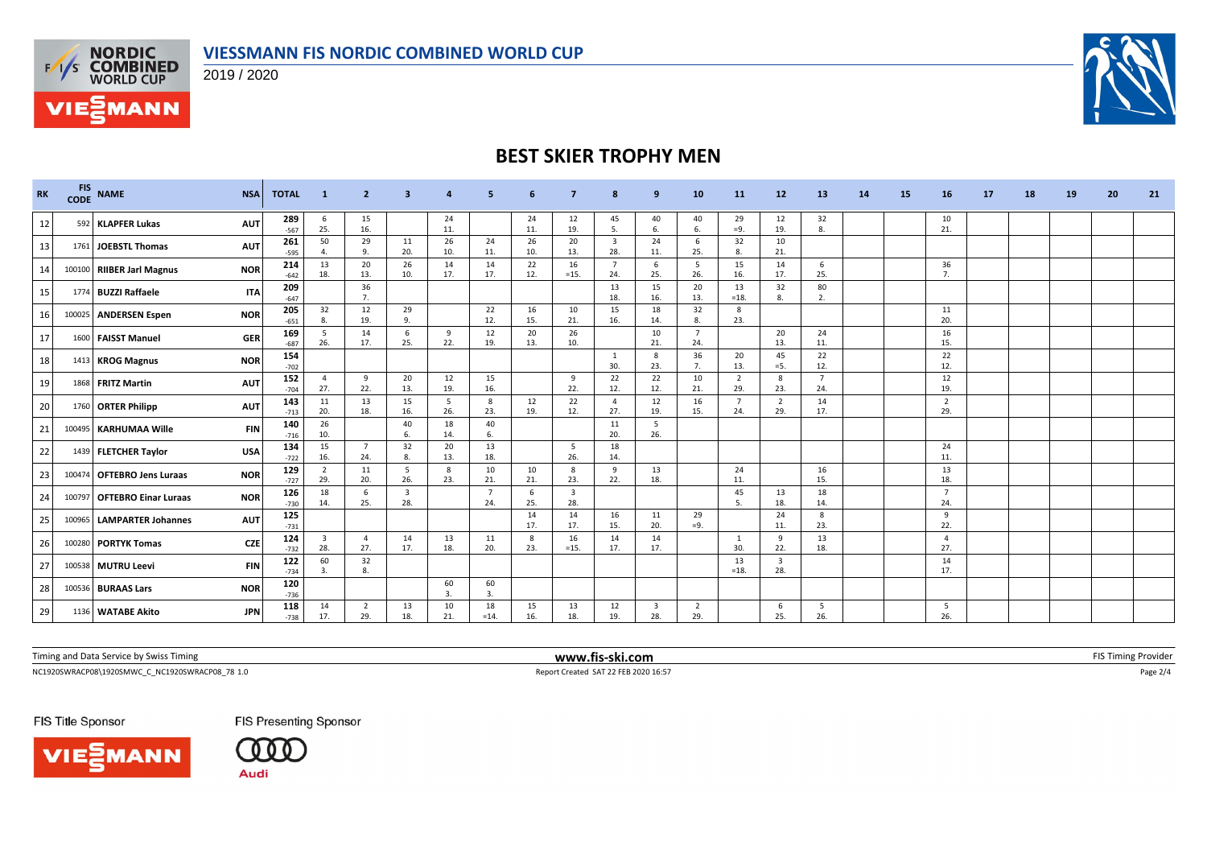



**VIE***MANN* 



## **BEST SKIER TROPHY MEN**

| <b>RK</b>       | <b>FIS</b><br><b>CODE</b> | <b>NAME</b>                 | <b>NSA</b> | <b>TOTAL</b>  | -1                    | $\overline{2}$        | 3         | 4         | 5             |           |                                | 8                     | 9                              | 10                    | 11                    | 12                             | 13                    | <b>14</b> | 15 | 16                    | 17 | 18 | 19 | 20 | 21 |
|-----------------|---------------------------|-----------------------------|------------|---------------|-----------------------|-----------------------|-----------|-----------|---------------|-----------|--------------------------------|-----------------------|--------------------------------|-----------------------|-----------------------|--------------------------------|-----------------------|-----------|----|-----------------------|----|----|----|----|----|
| 12              |                           | 592 KLAPFER Lukas           | <b>AUT</b> | 289<br>$-567$ | - 6<br>25.            | 15<br>16.             |           | 24<br>11. |               | 24<br>11. | 12<br>19.                      | 45<br>5.              | 40<br>6.                       | 40<br>6.              | 29<br>$=9.$           | 12<br>19.                      | 32<br>8.              |           |    | 10<br>21.             |    |    |    |    |    |
| 13              |                           | 1761 JOEBSTL Thomas         | <b>AUT</b> | 261<br>$-595$ | 50<br>$\mathbf{A}$    | 29<br>9.              | 11<br>20. | 26<br>10. | 24<br>11.     | 26<br>10. | 20<br>13.                      | $\overline{3}$<br>28. | 24<br>11.                      | 6<br>25.              | 32<br>8.              | 10<br>21.                      |                       |           |    |                       |    |    |    |    |    |
| 14              |                           | 100100 RIIBER Jarl Magnus   | <b>NOR</b> | 214<br>$-642$ | 13<br>18.             | 20<br>13.             | 26<br>10. | 14<br>17. | 14<br>17.     | 22<br>12. | 16<br>$=15.$                   | $\overline{7}$<br>24. | -6<br>25.                      | -5<br>26.             | 15<br>16.             | 14<br>17.                      | 6<br>25.              |           |    | 36<br>$\overline{7}$  |    |    |    |    |    |
| 15 <sub>l</sub> |                           | 1774 BUZZI Raffaele         | <b>ITA</b> | 209<br>$-647$ |                       | 36<br>7 <sub>1</sub>  |           |           |               |           |                                | 13<br>18.             | 15<br>16.                      | 20<br>13.             | 13<br>$=18.$          | 32<br>8.                       | 80<br>-2.             |           |    |                       |    |    |    |    |    |
| 16              |                           | 100025 ANDERSEN Espen       | <b>NOR</b> | 205<br>$-651$ | 32<br>8.              | 12<br>19.             | 29<br>q   |           | 22<br>12.     | 16<br>15. | 10<br>21.                      | 15<br>16.             | 18<br>14.                      | 32<br>8.              | 8<br>23.              |                                |                       |           |    | 11<br>20.             |    |    |    |    |    |
| 17              |                           | 1600 FAISST Manuel          | <b>GER</b> | 169<br>$-687$ | 5<br>26.              | 14<br>17.             | 6<br>25.  | 9<br>22.  | 12<br>19.     | 20<br>13. | 26<br>10.                      |                       | 10<br>21.                      | - 7<br>24.            |                       | 20<br>13.                      | 24<br>11.             |           |    | 16<br>15.             |    |    |    |    |    |
| 18              |                           | 1413 KROG Magnus            | <b>NOR</b> | 154<br>$-702$ |                       |                       |           |           |               |           |                                | 1<br>30.              | 8<br>23.                       | 36<br>7.              | 20<br>13.             | 45<br>$=$ 5.                   | 22<br>12.             |           |    | 22<br>12.             |    |    |    |    |    |
| 19              |                           | 1868 FRITZ Martin           | <b>AUT</b> | 152<br>$-704$ | $\mathbf{A}$<br>27.   | $\mathbf{q}$<br>22.   | 20<br>13. | 12<br>19. | 15<br>16.     |           | 9<br>22.                       | 22<br>12.             | 22<br>12.                      | 10<br>21.             | $\overline{2}$<br>29. | 8<br>23.                       | $\overline{7}$<br>24. |           |    | 12<br>19.             |    |    |    |    |    |
| 20              |                           | 1760 ORTER Philipp          | <b>AUT</b> | 143<br>$-713$ | 11<br>20.             | 13<br>18.             | 15<br>16. | 5<br>26.  | 8<br>23.      | 12<br>19. | 22<br>12.                      | $\overline{a}$<br>27. | 12<br>19.                      | 16<br>15.             | $\overline{7}$<br>24. | $\overline{2}$<br>29.          | 14<br>17.             |           |    | $\overline{2}$<br>29. |    |    |    |    |    |
| 21              |                           | 100495 KARHUMAA Wille       | <b>FIN</b> | 140<br>$-716$ | 26<br>10.             |                       | 40<br>6.  | 18<br>14. | 40<br>6.      |           |                                | 11<br>20.             | -5<br>26.                      |                       |                       |                                |                       |           |    |                       |    |    |    |    |    |
| 22              |                           | 1439 FLETCHER Taylor        | <b>USA</b> | 134<br>$-722$ | 15<br>16.             | $\overline{7}$<br>24. | 32<br>8.  | 20<br>13. | 13<br>18.     |           | 5<br>26.                       | 18<br>14.             |                                |                       |                       |                                |                       |           |    | 24<br>11.             |    |    |    |    |    |
| 23              |                           | 100474 OFTEBRO Jens Luraas  | <b>NOR</b> | 129<br>$-727$ | $\overline{2}$<br>29. | 11<br>20.             | 5<br>26.  | 8<br>23.  | 10<br>21.     | 10<br>21. | 8<br>23.                       | 9<br>22.              | 13<br>18.                      |                       | 24<br>11.             |                                | 16<br>15.             |           |    | 13<br>18.             |    |    |    |    |    |
| 24              |                           | 100797 OFTEBRO Einar Luraas | <b>NOR</b> | 126<br>$-730$ | 18<br>14.             | -6<br>25.             | 3<br>28.  |           | 7<br>24.      | 6<br>25.  | $\overline{\mathbf{3}}$<br>28. |                       |                                |                       | 45<br>5.              | 13<br>18.                      | 18<br>14.             |           |    | $\overline{7}$<br>24. |    |    |    |    |    |
| 25              | 100965                    | <b>LAMPARTER Johannes</b>   | <b>AUT</b> | 125<br>$-731$ |                       |                       |           |           |               | 14<br>17. | 14<br>17.                      | 16<br>15.             | 11<br>20.                      | 29<br>$=9.$           |                       | 24<br>11.                      | - 8<br>23.            |           |    | 9<br>22.              |    |    |    |    |    |
| 26              |                           | 100280 PORTYK Tomas         | <b>CZE</b> | 124<br>$-732$ | $\overline{3}$<br>28. | $\overline{4}$<br>27. | 14<br>17. | 13<br>18. | 11<br>20.     | 8<br>23.  | 16<br>$=15.$                   | 14<br>17.             | 14<br>17.                      |                       | -1<br>30.             | 9<br>22.                       | 13<br>18.             |           |    | -4<br>27.             |    |    |    |    |    |
| 27              |                           | 100538 MUTRU Leevi          | <b>FIN</b> | 122<br>$-734$ | 60<br>3.              | 32<br>8.              |           |           |               |           |                                |                       |                                |                       | 13<br>$=18.$          | $\overline{\mathbf{3}}$<br>28. |                       |           |    | 14<br>17.             |    |    |    |    |    |
| 28              |                           | 100536 BURAAS Lars          | <b>NOR</b> | 120<br>$-736$ |                       |                       |           | 60<br>3.  | 60<br>3.      |           |                                |                       |                                |                       |                       |                                |                       |           |    |                       |    |    |    |    |    |
| 29              |                           | 1136 WATABE Akito           | <b>JPN</b> | 118<br>$-738$ | 14<br>17.             | $\overline{2}$<br>29. | 13<br>18. | 10<br>21. | 18<br>$=14$ . | 15<br>16. | 13<br>18.                      | 12<br>19.             | $\overline{\mathbf{3}}$<br>28. | $\overline{2}$<br>29. |                       | 6<br>25.                       | - 5<br>26.            |           |    | 5<br>26.              |    |    |    |    |    |

| Timing and Data 9<br>tice by Swiss Timing<br>ervice י | --ski.com<br>www.fis- | FIS L<br>. oviner<br>. פוזווי |
|-------------------------------------------------------|-----------------------|-------------------------------|
|                                                       |                       |                               |

 $\textsf{Report Create SAT 22 FEB 202016:57} \textsf{Page 2/4} \textsf{R} \textsf{opt} \textsf{C} \textsf{read} \textsf{SAT 22 FEB 202016:57} \textsf{Page 2/4} \textsf{R} \textsf{opt} \textsf{C} \textsf{length} \textsf{C} \textsf{length} \textsf{C} \textsf{length} \textsf{C} \textsf{length} \textsf{length} \textsf{model} \textsf{length} \textsf{length} \textsf{length} \textsf{length} \textsf{length} \textsf{length} \textsf{length} \textsf{length} \textsf{width} \textsf{$ 

FIS Title Sponsor





FIS Presenting Sponsor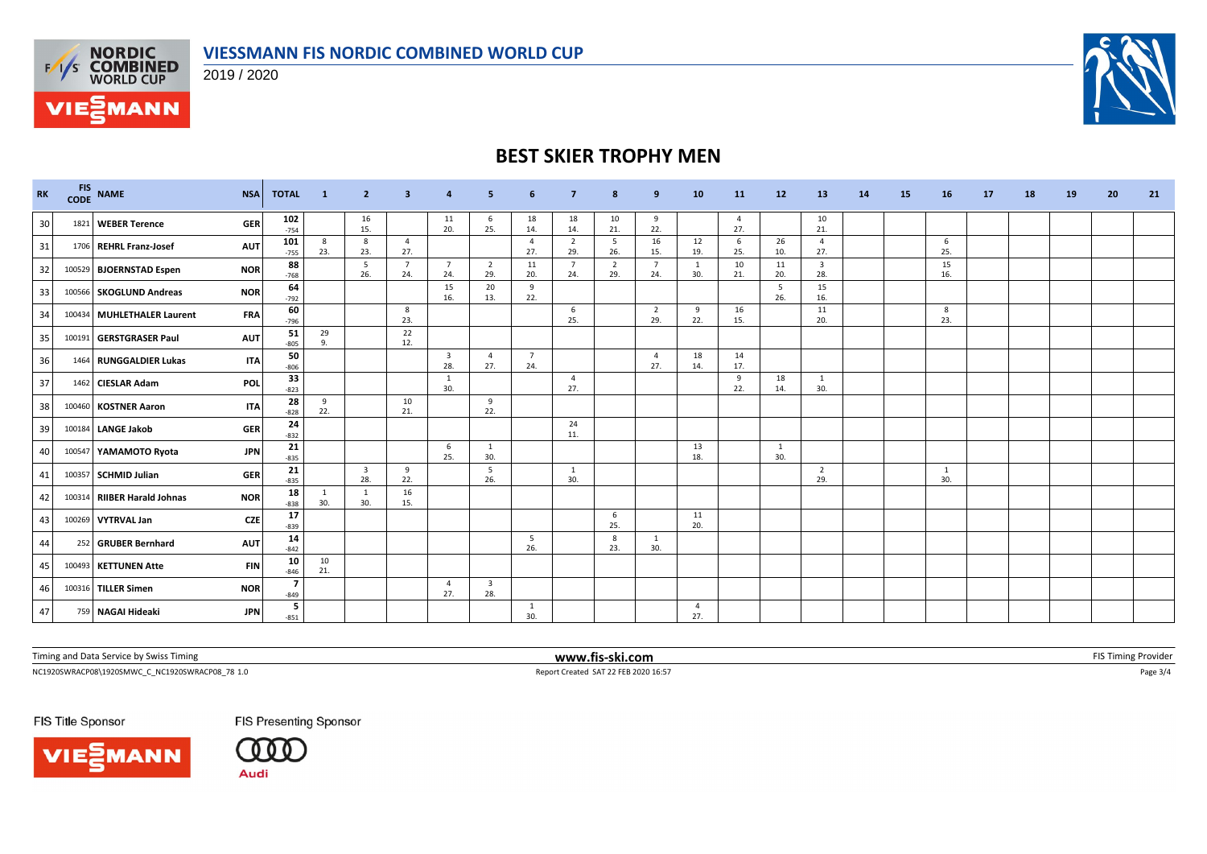





## **BEST SKIER TROPHY MEN**

| <b>RK</b>       | FIS NAME                    | <b>NSA</b> | <b>TOTAL</b>  | $\blacksquare$ 1   | $\overline{2}$ | $\overline{\mathbf{3}}$ | $\overline{a}$                 | 5                              | 6                     | $\overline{7}$        | 8                     | 9                     | 10                             | <b>11</b>             | 12        | 13                             | 14 | 15 | <b>16</b>           | 17 | 18 | 19 | 20 | 21 |
|-----------------|-----------------------------|------------|---------------|--------------------|----------------|-------------------------|--------------------------------|--------------------------------|-----------------------|-----------------------|-----------------------|-----------------------|--------------------------------|-----------------------|-----------|--------------------------------|----|----|---------------------|----|----|----|----|----|
| 30 <sup>1</sup> | 1821 WEBER Terence          | <b>GER</b> | 102<br>$-754$ |                    | 16<br>15.      |                         | 11<br>20.                      | 6<br>25.                       | 18<br>14.             | 18<br>14.             | 10<br>21.             | 9<br>22.              |                                | $\overline{4}$<br>27. |           | 10<br>21.                      |    |    |                     |    |    |    |    |    |
| 31              | 1706 REHRL Franz-Josef      | <b>AUT</b> | 101<br>$-755$ | 8<br>23.           | 8<br>23.       | $\overline{4}$<br>27.   |                                |                                | $\overline{4}$<br>27. | $\overline{2}$<br>29. | 5<br>26.              | 16<br>15.             | 12<br>19.                      | 6<br>25.              | 26<br>10. | $\overline{4}$<br>27.          |    |    | 6<br>25.            |    |    |    |    |    |
| 32              | 100529 BJOERNSTAD Espen     | <b>NOR</b> | 88<br>$-768$  |                    | -5<br>26.      | $\overline{7}$<br>24.   | $\overline{7}$<br>24.          | $\overline{2}$<br>29.          | 11<br>20.             | $\overline{7}$<br>24. | $\overline{2}$<br>29. | $\overline{7}$<br>24. | $\overline{\mathbf{1}}$<br>30. | 10<br>21.             | 11<br>20. | $\overline{\mathbf{3}}$<br>28. |    |    | 15<br>16.           |    |    |    |    |    |
| 33              | 100566 SKOGLUND Andreas     | <b>NOR</b> | 64<br>$-792$  |                    |                |                         | 15<br>16.                      | 20<br>13.                      | 9<br>22.              |                       |                       |                       |                                |                       | 5<br>26.  | 15<br>16.                      |    |    |                     |    |    |    |    |    |
| 34              | 100434 MUHLETHALER Laurent  | <b>FRA</b> | 60<br>$-796$  |                    |                | 8<br>23.                |                                |                                |                       | 6<br>25.              |                       | $\overline{2}$<br>29. | 9<br>22.                       | 16<br>15.             |           | 11<br>20.                      |    |    | 8<br>23.            |    |    |    |    |    |
| 35              | 100191 GERSTGRASER Paul     | <b>AUT</b> | 51<br>$-805$  | 29<br>$\mathbf{q}$ |                | 22<br>12.               |                                |                                |                       |                       |                       |                       |                                |                       |           |                                |    |    |                     |    |    |    |    |    |
| 36              | 1464 RUNGGALDIER Lukas      | <b>ITA</b> | 50<br>$-806$  |                    |                |                         | $\overline{\mathbf{3}}$<br>28. | $\overline{4}$<br>27.          | $\overline{7}$<br>24. |                       |                       | $\overline{4}$<br>27. | 18<br>14.                      | 14<br>17.             |           |                                |    |    |                     |    |    |    |    |    |
| 37              | 1462 CIESLAR Adam           | <b>POL</b> | 33<br>$-823$  |                    |                |                         | 1<br>30.                       |                                |                       | $\overline{4}$<br>27. |                       |                       |                                | 9<br>22.              | 18<br>14. | 1<br>30.                       |    |    |                     |    |    |    |    |    |
| 38              | 100460 KOSTNER Aaron        | <b>ITA</b> | 28<br>$-828$  | 9<br>22.           |                | 10<br>21.               |                                | 9<br>22.                       |                       |                       |                       |                       |                                |                       |           |                                |    |    |                     |    |    |    |    |    |
| 39              | 100184 LANGE Jakob          | <b>GER</b> | 24<br>$-832$  |                    |                |                         |                                |                                |                       | 24<br>11.             |                       |                       |                                |                       |           |                                |    |    |                     |    |    |    |    |    |
| 40              | 100547 YAMAMOTO Ryota       | <b>JPN</b> | 21<br>$-835$  |                    |                |                         | 6<br>25.                       | 1<br>30.                       |                       |                       |                       |                       | 13<br>18.                      |                       | 1<br>30.  |                                |    |    |                     |    |    |    |    |    |
| 41              | 100357 SCHMID Julian        | <b>GER</b> | 21<br>$-835$  |                    | 3<br>28.       | 9<br>22.                |                                | 5<br>26.                       |                       | 1<br>30.              |                       |                       |                                |                       |           | $\overline{2}$<br>29.          |    |    | <sup>1</sup><br>30. |    |    |    |    |    |
| 42              | 100314 RIIBER Harald Johnas | <b>NOR</b> | 18<br>$-838$  | 30.                | -1<br>30.      | 16<br>15.               |                                |                                |                       |                       |                       |                       |                                |                       |           |                                |    |    |                     |    |    |    |    |    |
| 43              | 100269 VYTRVAL Jan          | <b>CZE</b> | 17<br>$-839$  |                    |                |                         |                                |                                |                       |                       | 6<br>25.              |                       | 11<br>20.                      |                       |           |                                |    |    |                     |    |    |    |    |    |
| 44              | 252 GRUBER Bernhard         | <b>AUT</b> | 14<br>$-842$  |                    |                |                         |                                |                                | - 5<br>26.            |                       | 8<br>23.              | 1<br>30.              |                                |                       |           |                                |    |    |                     |    |    |    |    |    |
| 45              | 100493 KETTUNEN Atte        | <b>FIN</b> | 10<br>$-846$  | 10<br>21.          |                |                         |                                |                                |                       |                       |                       |                       |                                |                       |           |                                |    |    |                     |    |    |    |    |    |
| 46              | 100316 TILLER Simen         | <b>NOR</b> | $-849$        |                    |                |                         | $\overline{4}$<br>27.          | $\overline{\mathbf{3}}$<br>28. |                       |                       |                       |                       |                                |                       |           |                                |    |    |                     |    |    |    |    |    |
| 47              | 759 NAGAI Hideaki           | <b>JPN</b> | -5<br>$-851$  |                    |                |                         |                                |                                | 1<br>30.              |                       |                       |                       | $\overline{4}$<br>27.          |                       |           |                                |    |    |                     |    |    |    |    |    |

Timing and Data Service by Swiss Timing **WWW.fis-ski.com WWW.fis-ski.com FIS** Timing Provider

**VIE***MANN* 

NC1920SWRACP08\1920SMWC\_C\_NC1920SWRACP08\_78 1.0 Report Created SAT 22 FEB 2020 16:57 Page 3/4

FIS Title Sponsor





FIS Presenting Sponsor